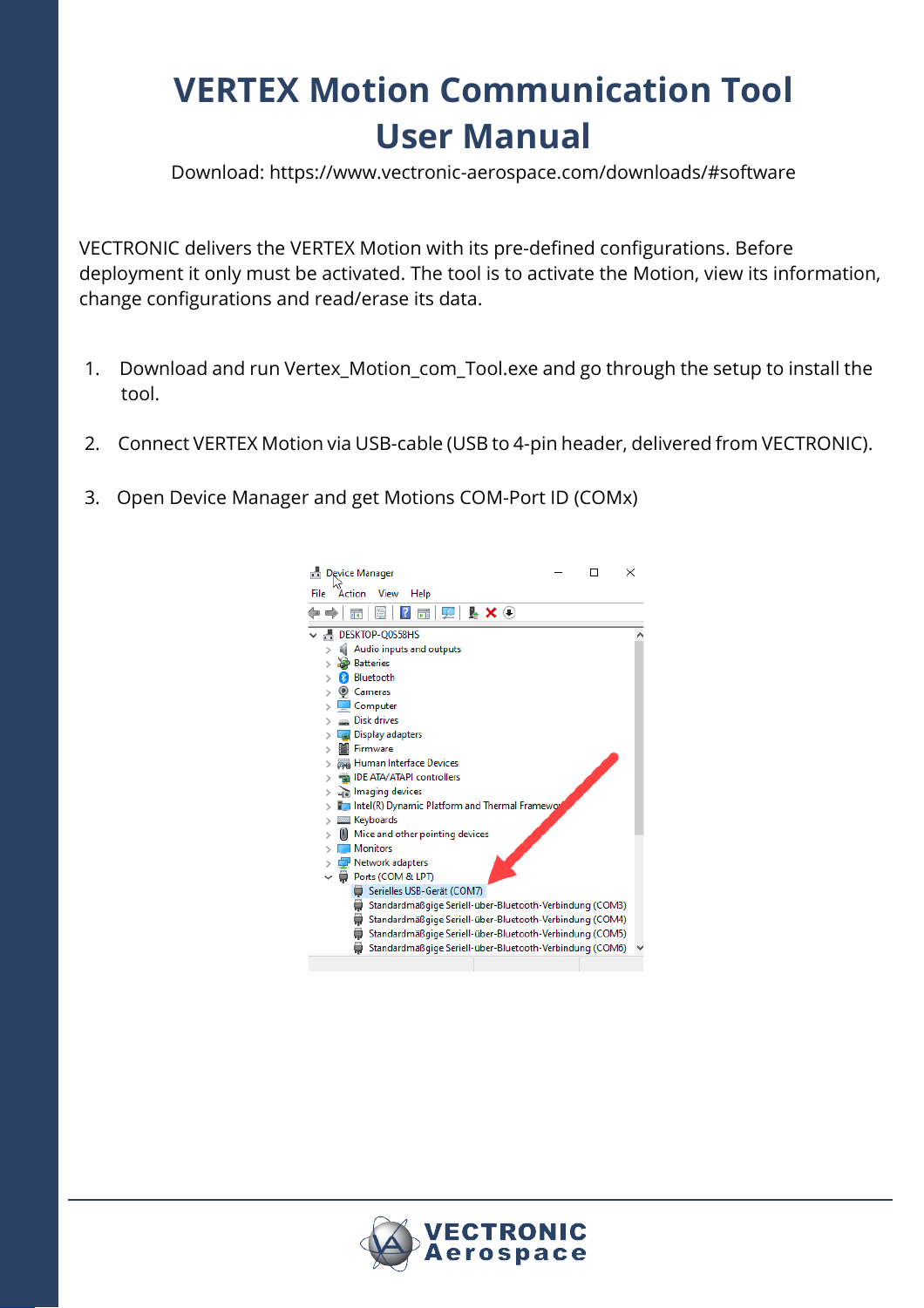# **VERTEX Motion Communication Tool User Manual**

Download: https://www.vectronic-aerospace.com/downloads/#software

VECTRONIC delivers the VERTEX Motion with its pre-defined configurations. Before deployment it only must be activated. The tool is to activate the Motion, view its information, change configurations and read/erase its data.

- 1. Download and run Vertex Motion com Tool.exe and go through the setup to install the tool.
- 2. Connect VERTEX Motion via USB-cable (USB to 4-pin header, delivered from VECTRONIC).
- 3. Open Device Manager and get Motions COM-Port ID (COMx)



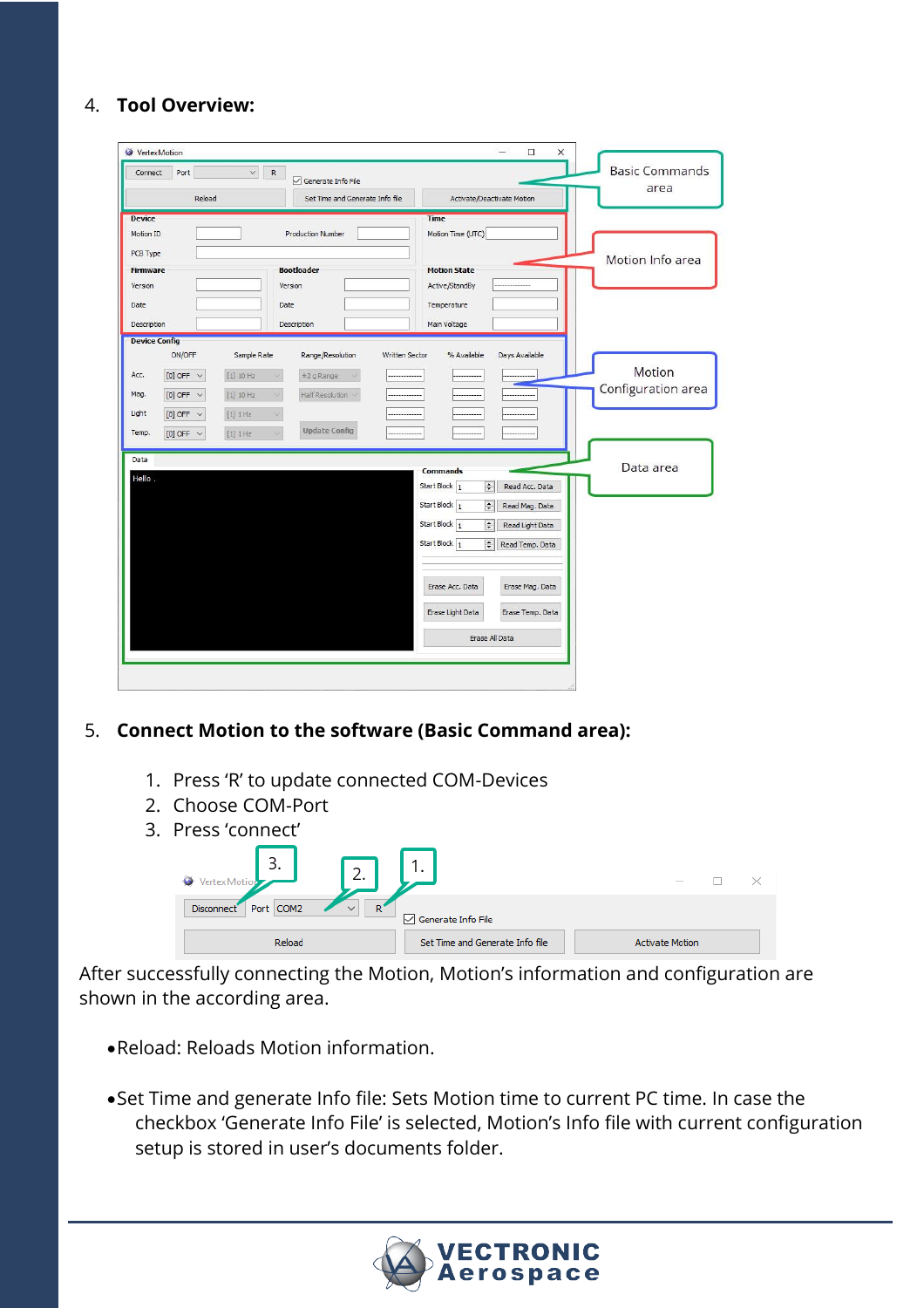#### 4. **Tool Overview:**

| Connect              | Port             | $\checkmark$ | $\mathsf R$ | Generate Info File              |                       |                         |                            | <b>Basic Commands</b><br>area |
|----------------------|------------------|--------------|-------------|---------------------------------|-----------------------|-------------------------|----------------------------|-------------------------------|
|                      | Reload           |              |             | Set Time and Generate Info file |                       |                         | Activate/Deactivate Motion |                               |
| <b>Device</b>        |                  |              |             |                                 |                       | <b>Time</b>             |                            |                               |
| Motion ID            |                  |              |             | <b>Production Number</b>        |                       | Motion Time (UTC)       |                            |                               |
| PCB Type             |                  |              |             |                                 |                       |                         |                            | Motion Info area              |
| <b>Firmware</b>      |                  |              |             | <b>Bootloader</b>               |                       | <b>Motion State</b>     |                            |                               |
| Version              |                  |              |             | Version                         |                       | Active/StandBy          |                            |                               |
| Date                 |                  |              | Date        |                                 |                       | Temperature             |                            |                               |
| Description          |                  |              |             | Description                     |                       | Main Voltage            |                            |                               |
| <b>Device Config</b> |                  |              |             |                                 |                       |                         |                            |                               |
|                      | ON/OFF           | Sample Rate  |             | Range/Resolution                | <b>Written Sector</b> | % Available             | Days Available             |                               |
| Acc.                 | [0] OFF $\vee$   | $[1]$ 10 Hz  |             | ±2 g Range                      |                       |                         |                            | Motion                        |
| Mag.                 | [0] OFF $\vee$   | $[1]$ 10 Hz  |             | Half Resolution                 |                       |                         |                            | Configuration area            |
| Light                | [0] OFF $\vee$   | $[1]$ $1$ Hz |             |                                 |                       |                         |                            |                               |
| Temp.                | $[0]$ OFF $\vee$ | $[1]$ 1Hz    |             | <b>Update Config</b>            |                       |                         |                            |                               |
| Data                 |                  |              |             |                                 |                       |                         |                            |                               |
|                      |                  |              |             |                                 |                       | <b>Commands</b>         |                            | Data area                     |
| Hello.               |                  |              |             |                                 |                       | $\div$<br>Start Block 1 | Read Acc. Data             |                               |
|                      |                  |              |             |                                 |                       | Start Block 1<br>$\div$ | Read Mag. Data             |                               |
|                      |                  |              |             |                                 |                       | $\div$<br>Start Block 1 | Read Light Data            |                               |
|                      |                  |              |             |                                 |                       | Start Block 1<br>$\div$ | Read Temp. Data            |                               |
|                      |                  |              |             |                                 |                       |                         |                            |                               |
|                      |                  |              |             |                                 |                       | Erase Acc. Data         | Erase Mag. Data            |                               |
|                      |                  |              |             |                                 |                       | Erase Light Data        | Erase Temp. Data           |                               |
|                      |                  |              |             |                                 |                       |                         | Erase All Data             |                               |
|                      |                  |              |             |                                 |                       |                         |                            |                               |

#### 5. **Connect Motion to the software (Basic Command area):**

- 1. Press 'R' to update connected COM-Devices
- 2. Choose COM-Port
- $3.$  Press 'co

| Press connect                                                   |                                 |                          |  |
|-----------------------------------------------------------------|---------------------------------|--------------------------|--|
| 3.<br>2.                                                        | 1.                              | $\overline{\phantom{a}}$ |  |
| COM <sub>2</sub><br>Port  <br><b>Disconnect</b><br>$\mathbb{R}$ | $\sqrt{\ }$ Generate Info File  |                          |  |
| Reload                                                          | Set Time and Generate Info file | <b>Activate Motion</b>   |  |

After successfully connecting the Motion, Motion's information and configuration are shown in the according area.

- •Reload: Reloads Motion information.
- •Set Time and generate Info file: Sets Motion time to current PC time. In case the checkbox 'Generate Info File' is selected, Motion's Info file with current configuration setup is stored in user's documents folder.

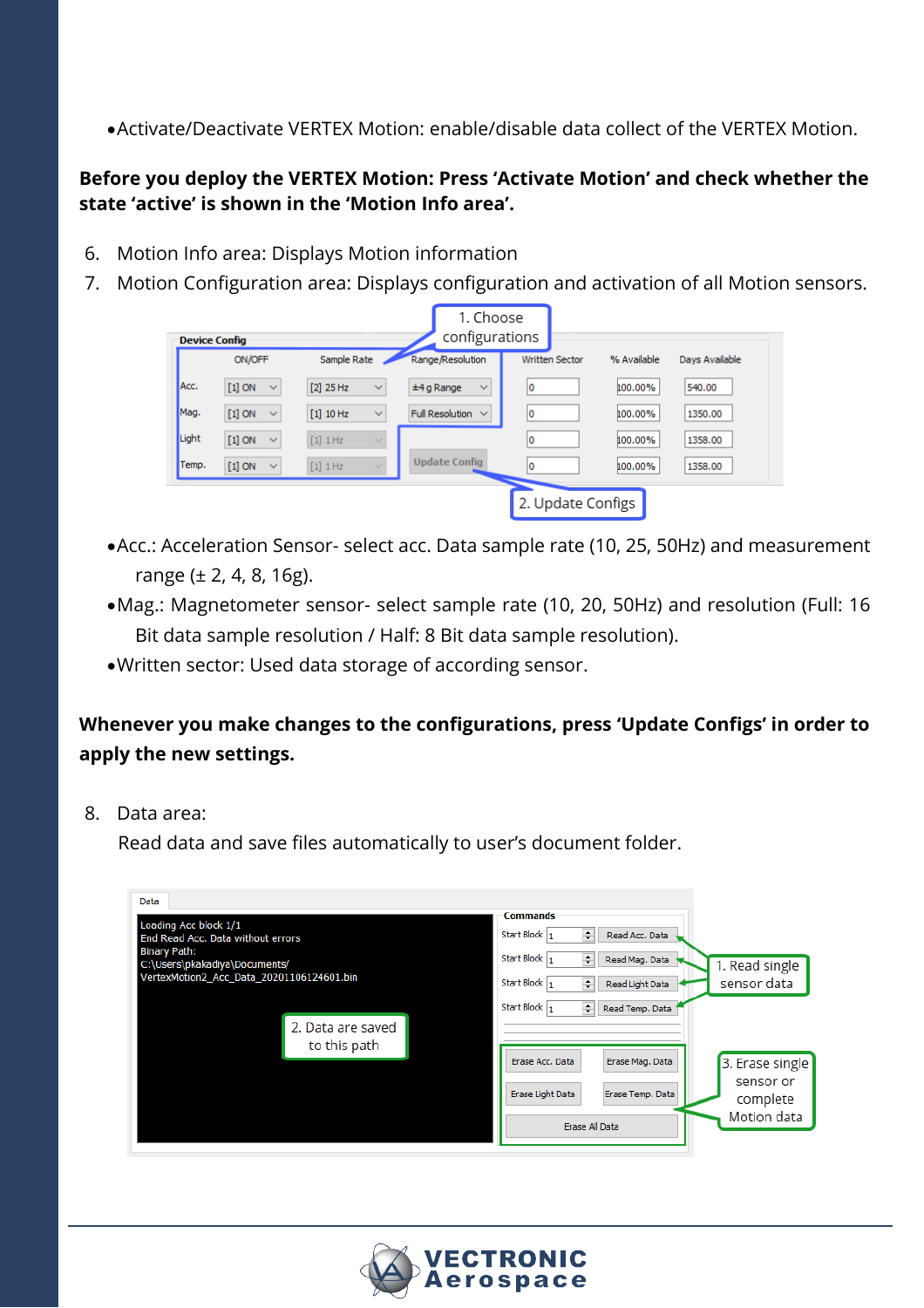•Activate/Deactivate VERTEX Motion: enable/disable data collect of the VERTEX Motion.

### **Before you deploy the VERTEX Motion: Press 'Activate Motion' and check whether the state 'active' is shown in the 'Motion Info area'.**

- 6. Motion Info area: Displays Motion information
- 7. Motion Configuration area: Displays configuration and activation of all Motion sensors.

| 1. Choose<br>configurations<br><b>Device Config</b> |                          |             |              |                              |                       |             |                |  |
|-----------------------------------------------------|--------------------------|-------------|--------------|------------------------------|-----------------------|-------------|----------------|--|
|                                                     | ON/OFF                   | Sample Rate |              | Range/Resolution             | <b>Written Sector</b> | % Available | Days Available |  |
| Acc.                                                | $[1]$ ON<br>$\checkmark$ | $[2]$ 25 Hz | $\checkmark$ | $±4$ g Range<br>$\checkmark$ | 10                    | 100.00%     | 540.00         |  |
| Mag.                                                | $[1]$ ON<br>$\checkmark$ | $[1]$ 10 Hz | $\checkmark$ | Full Resolution $\vee$       | 10                    | 100.00%     | 1350.00        |  |
| Light                                               | $[1]$ ON<br>$\checkmark$ | $[1]$ 1 Hz  | $\sim$       |                              | 10                    | 100.00%     | 1358.00        |  |
| Temp.                                               | $[1]$ ON<br>$\checkmark$ | $[1]$ 1 Hz  | $\sim$       | <b>Update Config</b>         | 10                    | 100.00%     | 1358.00        |  |
|                                                     |                          |             |              |                              | 2. Update Configs     |             |                |  |

- •Acc.: Acceleration Sensor- select acc. Data sample rate (10, 25, 50Hz) and measurement range  $(\pm 2, 4, 8, 16)$ .
- •Mag.: Magnetometer sensor- select sample rate (10, 20, 50Hz) and resolution (Full: 16 Bit data sample resolution / Half: 8 Bit data sample resolution).
- •Written sector: Used data storage of according sensor.

## **Whenever you make changes to the configurations, press 'Update Configs' in order to apply the new settings.**

8. Data area:

Read data and save files automatically to user's document folder.